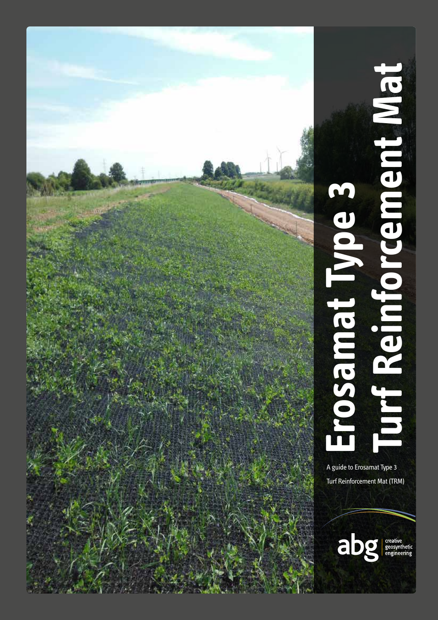

# **Reinforcement Mat Type 3<br>Turf Reinforcement Mate** urf Reinforcement Mat pe 3 Jambso

A guide to Erosamat Type 3 **Turf Reinforcement Mat (TRM)** 

abg

creative<br>geosynthetic<br>engineering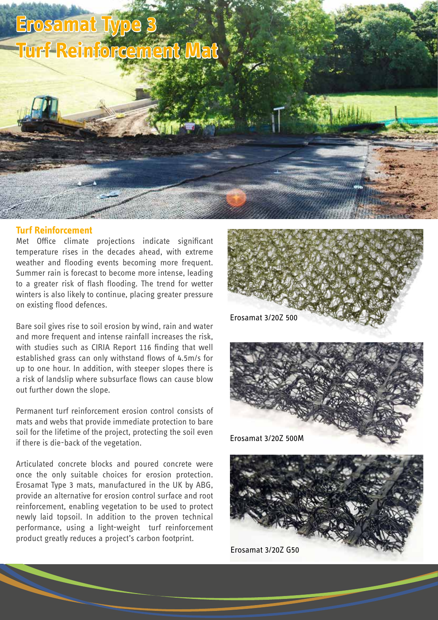# **Erosamat Type 3 Turf Reinforcement Mat**

#### **Turf Reinforcement**

Met Office climate projections indicate significant temperature rises in the decades ahead, with extreme weather and flooding events becoming more frequent. Summer rain is forecast to become more intense, leading to a greater risk of flash flooding. The trend for wetter winters is also likely to continue, placing greater pressure on existing flood defences.

Bare soil gives rise to soil erosion by wind, rain and water and more frequent and intense rainfall increases the risk, with studies such as CIRIA Report 116 finding that well established grass can only withstand flows of 4.5m/s for up to one hour. In addition, with steeper slopes there is a risk of landslip where subsurface flows can cause blow out further down the slope.

Permanent turf reinforcement erosion control consists of mats and webs that provide immediate protection to bare soil for the lifetime of the project, protecting the soil even if there is die-back of the vegetation.

Articulated concrete blocks and poured concrete were once the only suitable choices for erosion protection. Erosamat Type 3 mats, manufactured in the UK by ABG, provide an alternative for erosion control surface and root reinforcement, enabling vegetation to be used to protect newly laid topsoil. In addition to the proven technical performance, using a light-weight turf reinforcement product greatly reduces a project's carbon footprint.





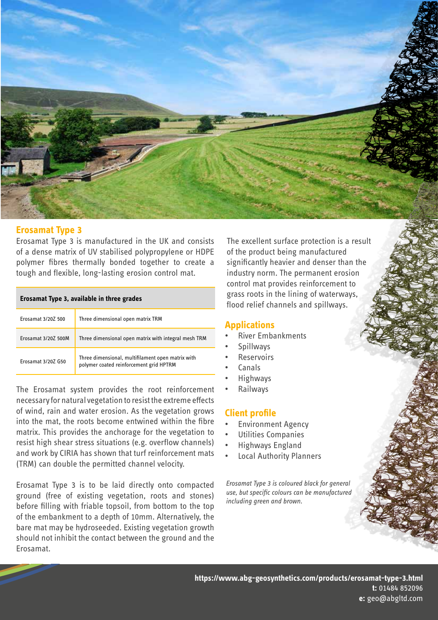

### **Erosamat Type 3**

Erosamat Type 3 is manufactured in the UK and consists of a dense matrix of UV stabilised polypropylene or HDPE polymer fibres thermally bonded together to create a tough and flexible, long-lasting erosion control mat.

| Erosamat Type 3, available in three grades |                                                                                              |  |  |  |  |
|--------------------------------------------|----------------------------------------------------------------------------------------------|--|--|--|--|
| Frosamat 3/207 500                         | Three dimensional open matrix TRM                                                            |  |  |  |  |
| Frosamat 3/207 500M                        | Three dimensional open matrix with integral mesh TRM                                         |  |  |  |  |
| Frosamat 3/207 G50                         | Three dimensional, multifilament open matrix with<br>polymer coated reinforcement grid HPTRM |  |  |  |  |

The Erosamat system provides the root reinforcement necessary for natural vegetation to resist the extreme effects of wind, rain and water erosion. As the vegetation grows into the mat, the roots become entwined within the fibre matrix. This provides the anchorage for the vegetation to resist high shear stress situations (e.g. overflow channels) and work by CIRIA has shown that turf reinforcement mats (TRM) can double the permitted channel velocity.

Erosamat Type 3 is to be laid directly onto compacted ground (free of existing vegetation, roots and stones) before filling with friable topsoil, from bottom to the top of the embankment to a depth of 10mm. Alternatively, the bare mat may be hydroseeded. Existing vegetation growth should not inhibit the contact between the ground and the Erosamat.

The excellent surface protection is a result of the product being manufactured significantly heavier and denser than the industry norm. The permanent erosion control mat provides reinforcement to grass roots in the lining of waterways, flood relief channels and spillways.

### **Applications**

- River Embankments
- **Spillways**
- **Reservoirs**
- Canals
- Highways
- Railways

### **Client profile**

- Environment Agency
- Utilities Companies
- Highways England
- **Local Authority Planners**

*Erosamat Type 3 is coloured black for general use, but specific colours can be manufactured including green and brown.*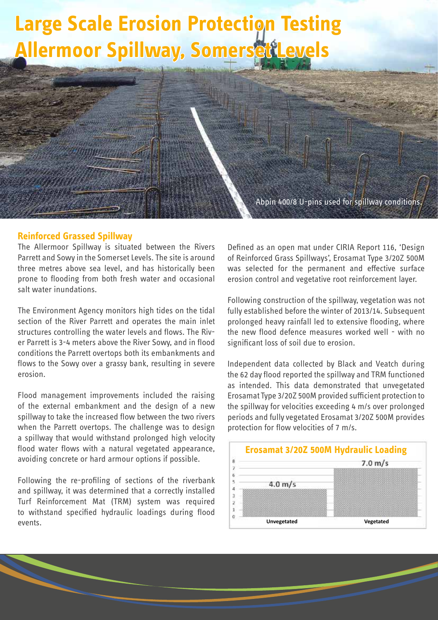# **Large Scale Erosion Protection Testing Allermoor Spillway, Somersett**

Abpin 400/8 U-pins used for spillway conditions.

#### **Reinforced Grassed Spillway**

The Allermoor Spillway is situated between the Rivers Parrett and Sowy in the Somerset Levels. The site is around three metres above sea level, and has historically been prone to flooding from both fresh water and occasional salt water inundations.

The Environment Agency monitors high tides on the tidal section of the River Parrett and operates the main inlet structures controlling the water levels and flows. The River Parrett is 3-4 meters above the River Sowy, and in flood conditions the Parrett overtops both its embankments and flows to the Sowy over a grassy bank, resulting in severe erosion.

Flood management improvements included the raising of the external embankment and the design of a new spillway to take the increased flow between the two rivers when the Parrett overtops. The challenge was to design a spillway that would withstand prolonged high velocity flood water flows with a natural vegetated appearance, avoiding concrete or hard armour options if possible.

Following the re-profiling of sections of the riverbank and spillway, it was determined that a correctly installed Turf Reinforcement Mat (TRM) system was required to withstand specified hydraulic loadings during flood events.

Defined as an open mat under CIRIA Report 116, 'Design of Reinforced Grass Spillways', Erosamat Type 3/20Z 500M was selected for the permanent and effective surface erosion control and vegetative root reinforcement layer.

Following construction of the spillway, vegetation was not fully established before the winter of 2013/14. Subsequent prolonged heavy rainfall led to extensive flooding, where the new flood defence measures worked well - with no significant loss of soil due to erosion.

Independent data collected by Black and Veatch during the 62 day flood reported the spillway and TRM functioned as intended. This data demonstrated that unvegetated Erosamat Type 3/20Z 500M provided sufficient protection to the spillway for velocities exceeding 4 m/s over prolonged periods and fully vegetated Erosamat 3/20Z 500M provides protection for flow velocities of 7 m/s.

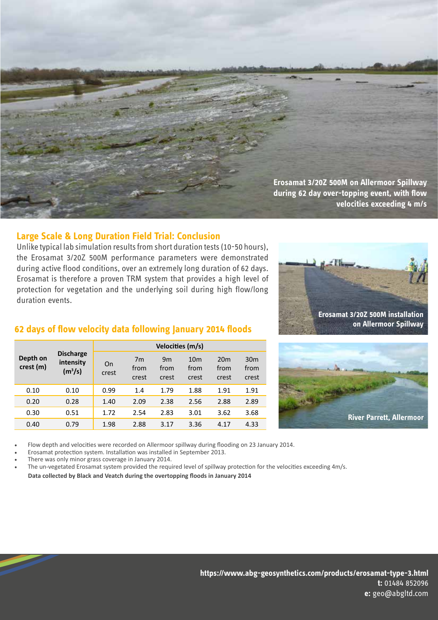

## **Large Scale & Long Duration Field Trial: Conclusion**

Unlike typical lab simulation results from short duration tests (10-50 hours), the Erosamat 3/20Z 500M performance parameters were demonstrated during active flood conditions, over an extremely long duration of 62 days. Erosamat is therefore a proven TRM system that provides a high level of protection for vegetation and the underlying soil during high flow/long duration events.



## **62 days of flow velocity data following January 2014 floods**

| Depth on<br>crest (m) | <b>Discharge</b><br>intensity<br>(m <sup>3</sup> /s) | Velocities (m/s) |                                 |                     |                                  |                                  |                                  |  |
|-----------------------|------------------------------------------------------|------------------|---------------------------------|---------------------|----------------------------------|----------------------------------|----------------------------------|--|
|                       |                                                      | On<br>crest      | 7 <sub>m</sub><br>from<br>crest | 9m<br>from<br>crest | 10 <sub>m</sub><br>from<br>crest | 20 <sub>m</sub><br>from<br>crest | 30 <sub>m</sub><br>from<br>crest |  |
| 0.10                  | 0.10                                                 | 0.99             | 1.4                             | 1.79                | 1.88                             | 1.91                             | 1.91                             |  |
| 0.20                  | 0.28                                                 | 1.40             | 2.09                            | 2.38                | 2.56                             | 2.88                             | 2.89                             |  |
| 0.30                  | 0.51                                                 | 1.72             | 2.54                            | 2.83                | 3.01                             | 3.62                             | 3.68                             |  |
| 0.40                  | 0.79                                                 | 1.98             | 2.88                            | 3.17                | 3.36                             | 4.17                             | 4.33                             |  |



Flow depth and velocities were recorded on Allermoor spillway during flooding on 23 January 2014.

Erosamat protection system. Installation was installed in September 2013.

There was only minor grass coverage in January 2014.

The un-vegetated Erosamat system provided the required level of spillway protection for the velocities exceeding 4m/s.

**Data collected by Black and Veatch during the overtopping floods in January 2014**